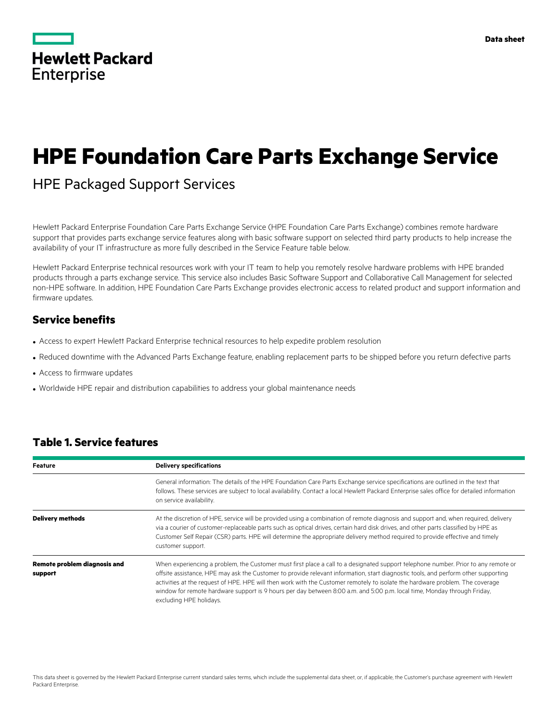|                   | <b>Hewlett Packard</b> |
|-------------------|------------------------|
| <b>Enterprise</b> |                        |

# **HPE Foundation Care Parts Exchange Service**

# HPE Packaged Support Services

Hewlett Packard Enterprise Foundation Care Parts Exchange Service (HPE Foundation Care Parts Exchange) combines remote hardware support that provides parts exchange service features along with basic software support on selected third party products to help increase the availability of your IT infrastructure as more fully described in the Service Feature table below.

Hewlett Packard Enterprise technical resources work with your IT team to help you remotely resolve hardware problems with HPE branded products through a parts exchange service. This service also includes Basic Software Support and Collaborative Call Management for selected non-HPE software. In addition, HPE Foundation Care Parts Exchange provides electronic access to related product and support information and firmware updates.

### **Service benefits**

- Access to expert Hewlett Packard Enterprise technical resources to help expedite problem resolution
- Reduced downtime with the Advanced Parts Exchange feature, enabling replacement parts to be shipped before you return defective parts
- Access to firmware updates
- Worldwide HPE repair and distribution capabilities to address your global maintenance needs

| <b>Feature</b>                                 | <b>Delivery specifications</b>                                                                                                                                                                                                                                                                                                                                                                                                                                                                                                                                   |
|------------------------------------------------|------------------------------------------------------------------------------------------------------------------------------------------------------------------------------------------------------------------------------------------------------------------------------------------------------------------------------------------------------------------------------------------------------------------------------------------------------------------------------------------------------------------------------------------------------------------|
|                                                | General information: The details of the HPE Foundation Care Parts Exchange service specifications are outlined in the text that<br>follows. These services are subject to local availability. Contact a local Hewlett Packard Enterprise sales office for detailed information<br>on service availability.                                                                                                                                                                                                                                                       |
| Delivery methods                               | At the discretion of HPE, service will be provided using a combination of remote diagnosis and support and, when required, delivery<br>via a courier of customer-replaceable parts such as optical drives, certain hard disk drives, and other parts classified by HPE as<br>Customer Self Repair (CSR) parts. HPE will determine the appropriate delivery method required to provide effective and timely<br>customer support.                                                                                                                                  |
| <b>Remote problem diagnosis and</b><br>support | When experiencing a problem, the Customer must first place a call to a designated support telephone number. Prior to any remote or<br>offsite assistance, HPE may ask the Customer to provide relevant information, start diagnostic tools, and perform other supporting<br>activities at the request of HPE. HPE will then work with the Customer remotely to isolate the hardware problem. The coverage<br>window for remote hardware support is 9 hours per day between 8:00 a.m. and 5:00 p.m. local time, Monday through Friday,<br>excluding HPE holidays. |

# **Table 1. Service features**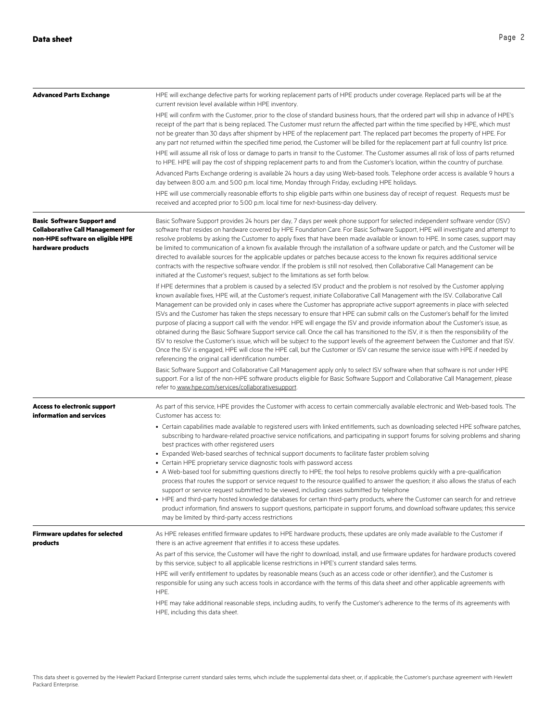| <b>Advanced Parts Exchange</b>                                                                                                         | HPE will exchange defective parts for working replacement parts of HPE products under coverage. Replaced parts will be at the<br>current revision level available within HPE inventory.                                                                                                                                                                                                                                                                                                                                                                                                                                                                                                                                                                                                                                                                                                                                                                                                                                                                                                                                                                       |
|----------------------------------------------------------------------------------------------------------------------------------------|---------------------------------------------------------------------------------------------------------------------------------------------------------------------------------------------------------------------------------------------------------------------------------------------------------------------------------------------------------------------------------------------------------------------------------------------------------------------------------------------------------------------------------------------------------------------------------------------------------------------------------------------------------------------------------------------------------------------------------------------------------------------------------------------------------------------------------------------------------------------------------------------------------------------------------------------------------------------------------------------------------------------------------------------------------------------------------------------------------------------------------------------------------------|
|                                                                                                                                        | HPE will confirm with the Customer, prior to the close of standard business hours, that the ordered part will ship in advance of HPE's<br>receipt of the part that is being replaced. The Customer must return the affected part within the time specified by HPE, which must<br>not be greater than 30 days after shipment by HPE of the replacement part. The replaced part becomes the property of HPE. For<br>any part not returned within the specified time period, the Customer will be billed for the replacement part at full country list price.                                                                                                                                                                                                                                                                                                                                                                                                                                                                                                                                                                                                    |
|                                                                                                                                        | HPE will assume all risk of loss or damage to parts in transit to the Customer. The Customer assumes all risk of loss of parts returned<br>to HPE. HPE will pay the cost of shipping replacement parts to and from the Customer's location, within the country of purchase.                                                                                                                                                                                                                                                                                                                                                                                                                                                                                                                                                                                                                                                                                                                                                                                                                                                                                   |
|                                                                                                                                        | Advanced Parts Exchange ordering is available 24 hours a day using Web-based tools. Telephone order access is available 9 hours a<br>day between 8:00 a.m. and 5:00 p.m. local time, Monday through Friday, excluding HPE holidays.                                                                                                                                                                                                                                                                                                                                                                                                                                                                                                                                                                                                                                                                                                                                                                                                                                                                                                                           |
|                                                                                                                                        | HPE will use commercially reasonable efforts to ship eligible parts within one business day of receipt of request. Requests must be<br>received and accepted prior to 5:00 p.m. local time for next-business-day delivery.                                                                                                                                                                                                                                                                                                                                                                                                                                                                                                                                                                                                                                                                                                                                                                                                                                                                                                                                    |
| <b>Basic Software Support and</b><br><b>Collaborative Call Management for</b><br>non-HPE software on eligible HPE<br>hardware products | Basic Software Support provides 24 hours per day, 7 days per week phone support for selected independent software vendor (ISV)<br>software that resides on hardware covered by HPE Foundation Care. For Basic Software Support, HPE will investigate and attempt to<br>resolve problems by asking the Customer to apply fixes that have been made available or known to HPE. In some cases, support may<br>be limited to communication of a known fix available through the installation of a software update or patch, and the Customer will be<br>directed to available sources for the applicable updates or patches because access to the known fix requires additional service<br>contracts with the respective software vendor. If the problem is still not resolved, then Collaborative Call Management can be<br>initiated at the Customer's request, subject to the limitations as set forth below.                                                                                                                                                                                                                                                  |
|                                                                                                                                        | If HPE determines that a problem is caused by a selected ISV product and the problem is not resolved by the Customer applying<br>known available fixes, HPE will, at the Customer's request, initiate Collaborative Call Management with the ISV. Collaborative Call<br>Management can be provided only in cases where the Customer has appropriate active support agreements in place with selected<br>ISVs and the Customer has taken the steps necessary to ensure that HPE can submit calls on the Customer's behalf for the limited<br>purpose of placing a support call with the vendor. HPE will engage the ISV and provide information about the Customer's issue, as<br>obtained during the Basic Software Support service call. Once the call has transitioned to the ISV, it is then the responsibility of the<br>ISV to resolve the Customer's issue, which will be subject to the support levels of the agreement between the Customer and that ISV.<br>Once the ISV is engaged, HPE will close the HPE call, but the Customer or ISV can resume the service issue with HPE if needed by<br>referencing the original call identification number. |
|                                                                                                                                        | Basic Software Support and Collaborative Call Management apply only to select ISV software when that software is not under HPE<br>support. For a list of the non-HPE software products eligible for Basic Software Support and Collaborative Call Management, please<br>refer to www.hpe.com/services/collaborativesupport.                                                                                                                                                                                                                                                                                                                                                                                                                                                                                                                                                                                                                                                                                                                                                                                                                                   |
| <b>Access to electronic support</b><br>information and services                                                                        | As part of this service, HPE provides the Customer with access to certain commercially available electronic and Web-based tools. The<br>Customer has access to:                                                                                                                                                                                                                                                                                                                                                                                                                                                                                                                                                                                                                                                                                                                                                                                                                                                                                                                                                                                               |
|                                                                                                                                        | • Certain capabilities made available to registered users with linked entitlements, such as downloading selected HPE software patches,<br>subscribing to hardware-related proactive service notifications, and participating in support forums for solving problems and sharing<br>best practices with other registered users                                                                                                                                                                                                                                                                                                                                                                                                                                                                                                                                                                                                                                                                                                                                                                                                                                 |
|                                                                                                                                        | • Expanded Web-based searches of technical support documents to facilitate faster problem solving<br>• Certain HPE proprietary service diagnostic tools with password access                                                                                                                                                                                                                                                                                                                                                                                                                                                                                                                                                                                                                                                                                                                                                                                                                                                                                                                                                                                  |
|                                                                                                                                        | • A Web-based tool for submitting questions directly to HPE; the tool helps to resolve problems quickly with a pre-qualification<br>process that routes the support or service request to the resource qualified to answer the question; it also allows the status of each<br>support or service request submitted to be viewed, including cases submitted by telephone<br>• HPE and third-party hosted knowledge databases for certain third-party products, where the Customer can search for and retrieve<br>product information, find answers to support questions, participate in support forums, and download software updates; this service                                                                                                                                                                                                                                                                                                                                                                                                                                                                                                            |
|                                                                                                                                        | may be limited by third-party access restrictions                                                                                                                                                                                                                                                                                                                                                                                                                                                                                                                                                                                                                                                                                                                                                                                                                                                                                                                                                                                                                                                                                                             |
| <b>Firmware updates for selected</b><br>products                                                                                       | As HPE releases entitled firmware updates to HPE hardware products, these updates are only made available to the Customer if<br>there is an active agreement that entitles it to access these updates.                                                                                                                                                                                                                                                                                                                                                                                                                                                                                                                                                                                                                                                                                                                                                                                                                                                                                                                                                        |
|                                                                                                                                        | As part of this service, the Customer will have the right to download, install, and use firmware updates for hardware products covered<br>by this service, subject to all applicable license restrictions in HPE's current standard sales terms.                                                                                                                                                                                                                                                                                                                                                                                                                                                                                                                                                                                                                                                                                                                                                                                                                                                                                                              |
|                                                                                                                                        | HPE will verify entitlement to updates by reasonable means (such as an access code or other identifier), and the Customer is<br>responsible for using any such access tools in accordance with the terms of this data sheet and other applicable agreements with<br>HPE.                                                                                                                                                                                                                                                                                                                                                                                                                                                                                                                                                                                                                                                                                                                                                                                                                                                                                      |
|                                                                                                                                        | HPE may take additional reasonable steps, including audits, to verify the Customer's adherence to the terms of its agreements with<br>HPE, including this data sheet.                                                                                                                                                                                                                                                                                                                                                                                                                                                                                                                                                                                                                                                                                                                                                                                                                                                                                                                                                                                         |
|                                                                                                                                        |                                                                                                                                                                                                                                                                                                                                                                                                                                                                                                                                                                                                                                                                                                                                                                                                                                                                                                                                                                                                                                                                                                                                                               |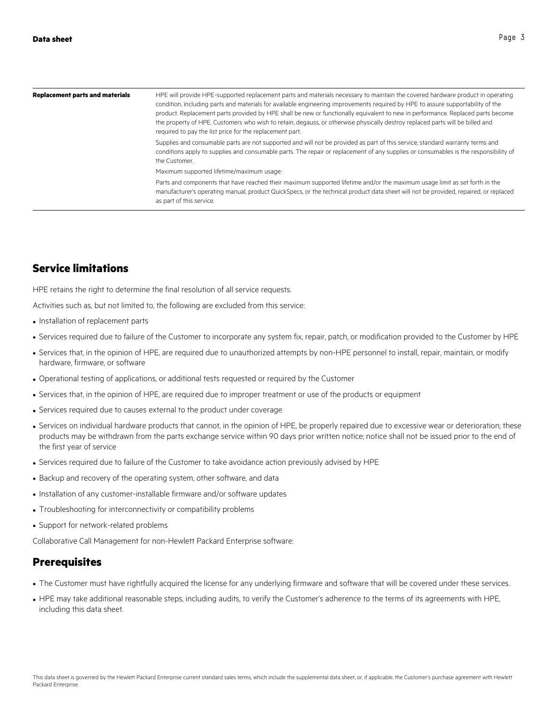| <b>Replacement parts and materials</b> | HPE will provide HPE-supported replacement parts and materials necessary to maintain the covered hardware product in operating<br>condition, including parts and materials for available engineering improvements required by HPE to assure supportability of the<br>product. Replacement parts provided by HPE shall be new or functionally equivalent to new in performance. Replaced parts become<br>the property of HPE. Customers who wish to retain, degauss, or otherwise physically destroy replaced parts will be billed and<br>required to pay the list price for the replacement part. |
|----------------------------------------|---------------------------------------------------------------------------------------------------------------------------------------------------------------------------------------------------------------------------------------------------------------------------------------------------------------------------------------------------------------------------------------------------------------------------------------------------------------------------------------------------------------------------------------------------------------------------------------------------|
|                                        | Supplies and consumable parts are not supported and will not be provided as part of this service; standard warranty terms and<br>conditions apply to supplies and consumable parts. The repair or replacement of any supplies or consumables is the responsibility of<br>the Customer.                                                                                                                                                                                                                                                                                                            |
|                                        | Maximum supported lifetime/maximum usage:                                                                                                                                                                                                                                                                                                                                                                                                                                                                                                                                                         |
|                                        | Parts and components that have reached their maximum supported lifetime and/or the maximum usage limit as set forth in the<br>manufacturer's operating manual, product QuickSpecs, or the technical product data sheet will not be provided, repaired, or replaced<br>as part of this service.                                                                                                                                                                                                                                                                                                    |

#### **Service limitations**

HPE retains the right to determine the final resolution of all service requests.

Activities such as, but not limited to, the following are excluded from this service:

- Installation of replacement parts
- Services required due to failure of the Customer to incorporate any system fix, repair, patch, or modification provided to the Customer by HPE
- Services that, in the opinion of HPE, are required due to unauthorized attempts by non-HPE personnel to install, repair, maintain, or modify hardware, firmware, or software
- Operational testing of applications, or additional tests requested or required by the Customer
- Services that, in the opinion of HPE, are required due to improper treatment or use of the products or equipment
- Services required due to causes external to the product under coverage
- Services on individual hardware products that cannot, in the opinion of HPE, be properly repaired due to excessive wear or deterioration; these products may be withdrawn from the parts exchange service within 90 days prior written notice; notice shall not be issued prior to the end of the first year of service
- Services required due to failure of the Customer to take avoidance action previously advised by HPE
- Backup and recovery of the operating system, other software, and data
- Installation of any customer-installable firmware and/or software updates
- Troubleshooting for interconnectivity or compatibility problems
- Support for network-related problems

Collaborative Call Management for non-Hewlett Packard Enterprise software:

#### **Prerequisites**

- The Customer must have rightfully acquired the license for any underlying firmware and software that will be covered under these services.
- HPE may take additional reasonable steps, including audits, to verify the Customer's adherence to the terms of its agreements with HPE, including this data sheet.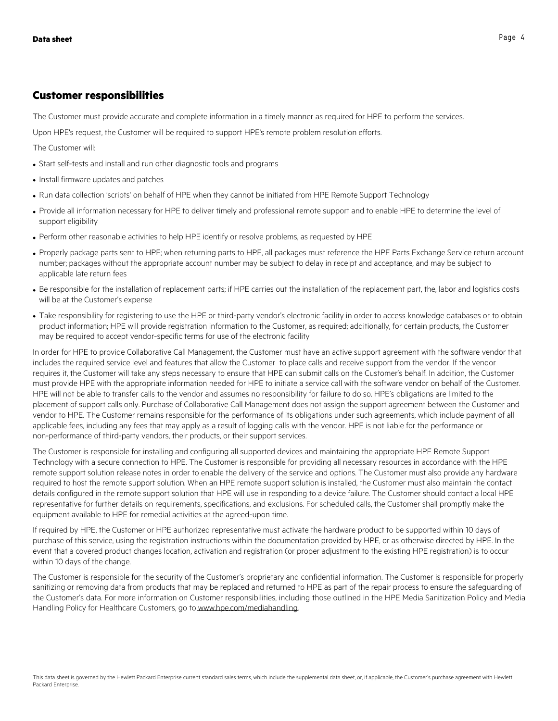#### **Customer responsibilities**

The Customer must provide accurate and complete information in a timely manner as required for HPE to perform the services.

Upon HPE's request, the Customer will be required to support HPE's remote problem resolution efforts.

The Customer will:

- Start self-tests and install and run other diagnostic tools and programs
- Install firmware updates and patches
- Run data collection 'scripts' on behalf of HPE when they cannot be initiated from HPE Remote Support Technology
- Provide all information necessary for HPE to deliver timely and professional remote support and to enable HPE to determine the level of support eligibility
- Perform other reasonable activities to help HPE identify or resolve problems, as requested by HPE
- Properly package parts sent to HPE; when returning parts to HPE, all packages must reference the HPE Parts Exchange Service return account number; packages without the appropriate account number may be subject to delay in receipt and acceptance, and may be subject to applicable late return fees
- Be responsible for the installation of replacement parts; if HPE carries out the installation of the replacement part, the, labor and logistics costs will be at the Customer's expense
- Take responsibility for registering to use the HPE or third-party vendor's electronic facility in order to access knowledge databases or to obtain product information; HPE will provide registration information to the Customer, as required; additionally, for certain products, the Customer may be required to accept vendor-specific terms for use of the electronic facility

In order for HPE to provide Collaborative Call Management, the Customer must have an active support agreement with the software vendor that includes the required service level and features that allow the Customer to place calls and receive support from the vendor. If the vendor requires it, the Customer will take any steps necessary to ensure that HPE can submit calls on the Customer's behalf. In addition, the Customer must provide HPE with the appropriate information needed for HPE to initiate a service call with the software vendor on behalf of the Customer. HPE will not be able to transfer calls to the vendor and assumes no responsibility for failure to do so. HPE's obligations are limited to the placement of support calls only. Purchase of Collaborative Call Management does not assign the support agreement between the Customer and vendor to HPE. The Customer remains responsible for the performance of its obligations under such agreements, which include payment of all applicable fees, including any fees that may apply as a result of logging calls with the vendor. HPE is not liable for the performance or non-performance of third-party vendors, their products, or their support services.

The Customer is responsible for installing and configuring all supported devices and maintaining the appropriate HPE Remote Support Technology with a secure connection to HPE. The Customer is responsible for providing all necessary resources in accordance with the HPE remote support solution release notes in order to enable the delivery of the service and options. The Customer must also provide any hardware required to host the remote support solution. When an HPE remote support solution is installed, the Customer must also maintain the contact details configured in the remote support solution that HPE will use in responding to a device failure. The Customer should contact a local HPE representative for further details on requirements, specifications, and exclusions. For scheduled calls, the Customer shall promptly make the equipment available to HPE for remedial activities at the agreed-upon time.

If required by HPE, the Customer or HPE authorized representative must activate the hardware product to be supported within 10 days of purchase of this service, using the registration instructions within the documentation provided by HPE, or as otherwise directed by HPE. In the event that a covered product changes location, activation and registration (or proper adjustment to the existing HPE registration) is to occur within 10 days of the change.

The Customer is responsible for the security of the Customer's proprietary and confidential information. The Customer is responsible for properly sanitizing or removing data from products that may be replaced and returned to HPE as part of the repair process to ensure the safeguarding of the Customer's data. For more information on Customer responsibilities, including those outlined in the HPE Media Sanitization Policy and Media Handling Policy for Healthcare Customers, go to www.hpe.com/mediahandling.